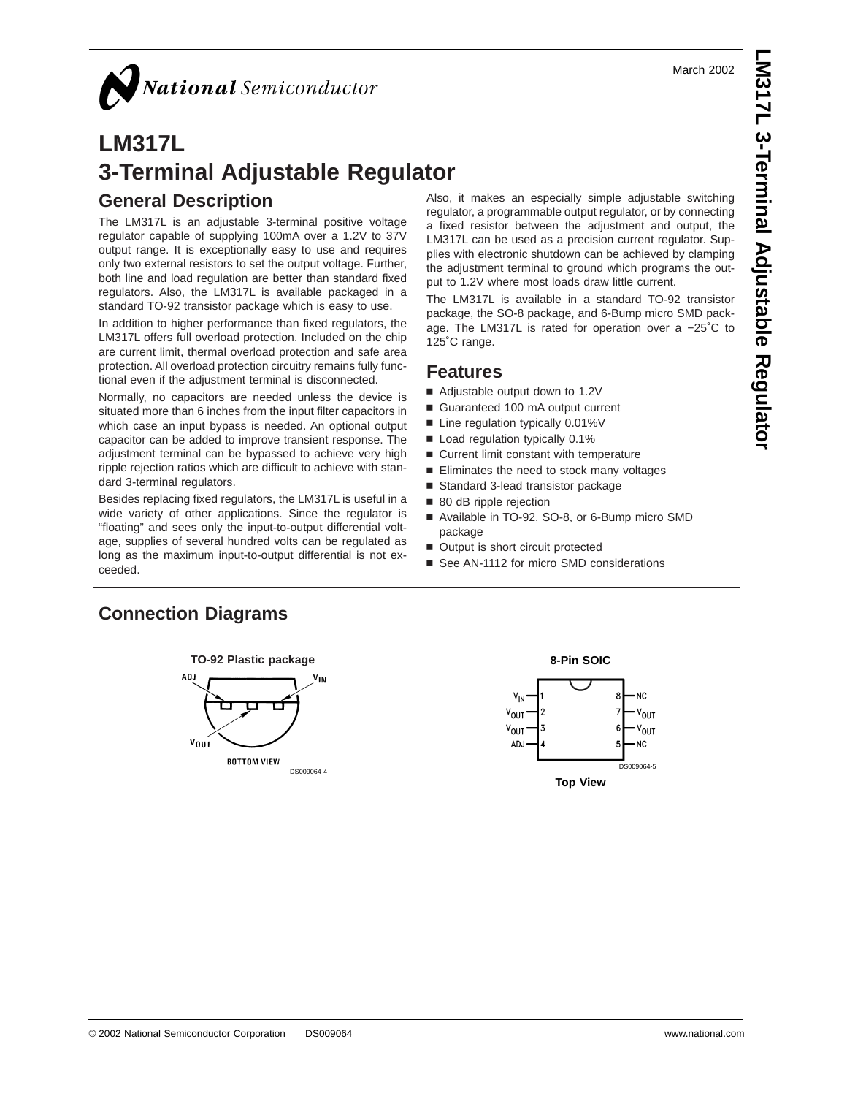March 2002

# National Semiconductor

# **LM317L 3-Terminal Adjustable Regulator General Description**

The LM317L is an adjustable 3-terminal positive voltage regulator capable of supplying 100mA over a 1.2V to 37V output range. It is exceptionally easy to use and requires only two external resistors to set the output voltage. Further, both line and load regulation are better than standard fixed regulators. Also, the LM317L is available packaged in a standard TO-92 transistor package which is easy to use.

In addition to higher performance than fixed regulators, the LM317L offers full overload protection. Included on the chip are current limit, thermal overload protection and safe area protection. All overload protection circuitry remains fully functional even if the adjustment terminal is disconnected.

Normally, no capacitors are needed unless the device is situated more than 6 inches from the input filter capacitors in which case an input bypass is needed. An optional output capacitor can be added to improve transient response. The adjustment terminal can be bypassed to achieve very high ripple rejection ratios which are difficult to achieve with standard 3-terminal regulators.

Besides replacing fixed regulators, the LM317L is useful in a wide variety of other applications. Since the regulator is "floating" and sees only the input-to-output differential voltage, supplies of several hundred volts can be regulated as long as the maximum input-to-output differential is not exceeded.

Also, it makes an especially simple adjustable switching regulator, a programmable output regulator, or by connecting a fixed resistor between the adjustment and output, the LM317L can be used as a precision current regulator. Supplies with electronic shutdown can be achieved by clamping the adjustment terminal to ground which programs the output to 1.2V where most loads draw little current.

The LM317L is available in a standard TO-92 transistor package, the SO-8 package, and 6-Bump micro SMD package. The LM317L is rated for operation over a −25˚C to 125˚C range.

## **Features**

- Adjustable output down to 1.2V
- Guaranteed 100 mA output current
- Line regulation typically 0.01%V
- Load regulation typically 0.1%
- Current limit constant with temperature
- $\blacksquare$  Eliminates the need to stock many voltages
- Standard 3-lead transistor package
- 80 dB ripple rejection
- Available in TO-92, SO-8, or 6-Bump micro SMD package
- Output is short circuit protected
- See AN-1112 for micro SMD considerations

## **Connection Diagrams**





**Top View**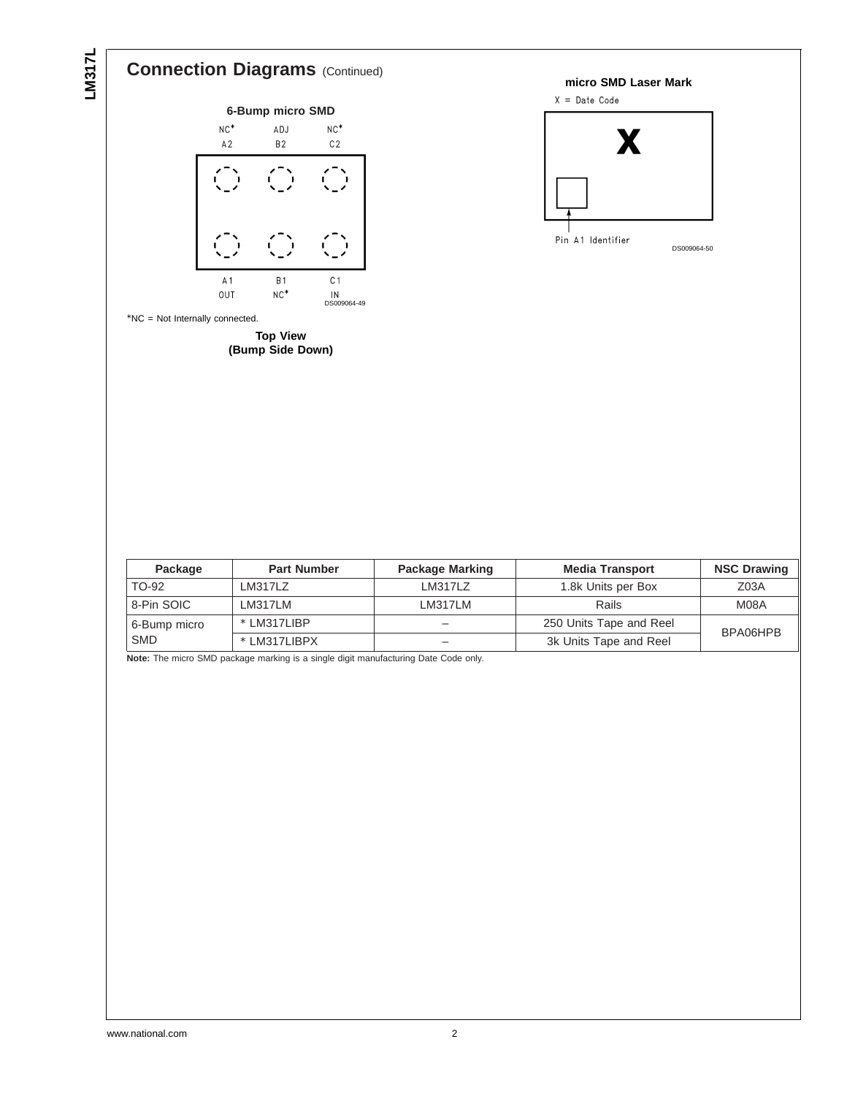# **Connection Diagrams** (Continued)



**(Bump Side Down)**



| Package      | <b>Part Number</b> | <b>Package Marking</b> | <b>Media Transport</b>              | <b>NSC Drawing</b> |  |
|--------------|--------------------|------------------------|-------------------------------------|--------------------|--|
| TO-92        | LM317LZ            | LM317LZ                | 1.8k Units per Box                  | Z <sub>03A</sub>   |  |
| 8-Pin SOIC   | LM317LM            | LM317LM                | Rails                               | M08A               |  |
| 6-Bump micro | * LM317LIBP        |                        | 250 Units Tape and Reel<br>BPA06HPB |                    |  |
| <b>SMD</b>   | * LM317LIBPX       |                        | 3k Units Tape and Reel              |                    |  |

**Note:** The micro SMD package marking is a single digit manufacturing Date Code only.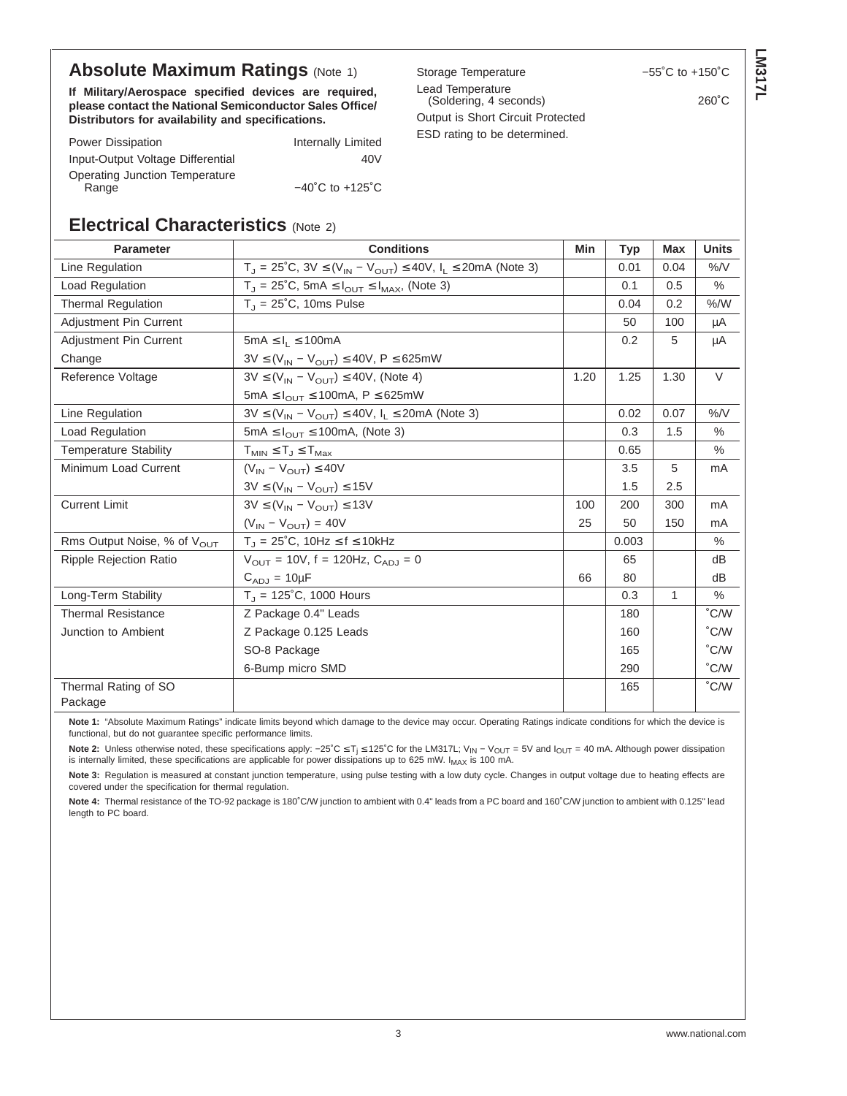## **Absolute Maximum Ratings (Note 1)**

**If Military/Aerospace specified devices are required, please contact the National Semiconductor Sales Office/ Distributors for availability and specifications.**

| <b>UNIQUE IGIINGIQUIE</b>         | ט שנו דו שנט ש  |
|-----------------------------------|-----------------|
| Lead Temperature                  |                 |
| (Soldering, 4 seconds)            | $260^{\circ}$ C |
| Output is Short Circuit Protected |                 |
| ESD rating to be determined.      |                 |

**LM317L**

| <b>Power Dissipation</b>                | Internally Limited                  |
|-----------------------------------------|-------------------------------------|
| Input-Output Voltage Differential       | 40V                                 |
| Operating Junction Temperature<br>Range | $-40^{\circ}$ C to $+125^{\circ}$ C |

## **Electrical Characteristics** (Note 2)

| <b>Parameter</b>                        | <b>Conditions</b>                                                                   | Min  | <b>Typ</b> | Max          | <b>Units</b>  |
|-----------------------------------------|-------------------------------------------------------------------------------------|------|------------|--------------|---------------|
| Line Regulation                         | $T_J = 25^{\circ}C$ , $3V \le (V_{IN} - V_{OUT}) \le 40V$ , $I_L \le 20mA$ (Note 3) |      | 0.01       | 0.04         | $\%$ /V       |
| Load Regulation                         | $T_J$ = 25°C, 5mA $\leq I_{\text{OUT}} \leq I_{\text{MAX}}$ , (Note 3)              |      | 0.1        | 0.5          | $\%$          |
| <b>Thermal Regulation</b>               | $T_1 = 25^{\circ}$ C, 10ms Pulse                                                    |      | 0.04       | 0.2          | % /W          |
| <b>Adjustment Pin Current</b>           |                                                                                     |      | 50         | 100          | μA            |
| <b>Adjustment Pin Current</b>           | $5mA \leq I_1 \leq 100mA$                                                           |      | 0.2        | 5            | μA            |
| Change                                  | $3V \leq (V_{IN} - V_{OUT}) \leq 40V$ , P $\leq 625$ mW                             |      |            |              |               |
| Reference Voltage                       | $3V \leq (V_{IN} - V_{OUT}) \leq 40V$ , (Note 4)                                    | 1.20 | 1.25       | 1.30         | V             |
|                                         | 5mA $\leq I_{\text{OUT}} \leq 100$ mA, P $\leq 625$ mW                              |      |            |              |               |
| Line Regulation                         | $3V \leq (V_{IN} - V_{OUT}) \leq 40V$ , $I_L \leq 20mA$ (Note 3)                    |      | 0.02       | 0.07         | $\%$ /V       |
| Load Regulation                         | 5mA $\leq$ $I_{\text{OUT}} \leq$ 100mA, (Note 3)                                    |      | 0.3        | 1.5          | $\%$          |
| <b>Temperature Stability</b>            | $T_{MIN} \leq T_J \leq T_{Max}$                                                     |      | 0.65       |              | $\%$          |
| Minimum Load Current                    | $(V_{IN} - V_{OUT}) \leq 40V$                                                       |      | 3.5        | 5            | mA            |
|                                         | $3V \leq (V_{IN} - V_{OUT}) \leq 15V$                                               |      | 1.5        | 2.5          |               |
| <b>Current Limit</b>                    | $3V \leq (V_{IN} - V_{OUT}) \leq 13V$                                               | 100  | 200        | 300          | mA            |
|                                         | $(V_{IN} - V_{OUT}) = 40V$                                                          | 25   | 50         | 150          | mA            |
| Rms Output Noise, % of V <sub>OUT</sub> | $T_J = 25^{\circ}C$ , 10Hz $\leq f \leq 10$ kHz                                     |      | 0.003      |              | $\%$          |
| <b>Ripple Rejection Ratio</b>           | $V_{\text{OUT}} = 10V$ , f = 120Hz, $C_{\text{AD}} = 0$                             |      | 65         |              | dB            |
|                                         | $C_{AD,1} = 10 \mu F$                                                               | 66   | 80         |              | dB            |
| Long-Term Stability                     | $T_{J}$ = 125°C, 1000 Hours                                                         |      | 0.3        | $\mathbf{1}$ | $\%$          |
| <b>Thermal Resistance</b>               | Z Package 0.4" Leads                                                                |      | 180        |              | °C/W          |
| Junction to Ambient                     | Z Package 0.125 Leads                                                               |      | 160        |              | °C/W          |
|                                         | SO-8 Package                                                                        |      | 165        |              | °C/W          |
|                                         | 6-Bump micro SMD                                                                    |      | 290        |              | °C/W          |
| Thermal Rating of SO                    |                                                                                     |      | 165        |              | $\degree$ C/W |
| Package                                 |                                                                                     |      |            |              |               |

**Note 1:** "Absolute Maximum Ratings" indicate limits beyond which damage to the device may occur. Operating Ratings indicate conditions for which the device is functional, but do not guarantee specific performance limits.

Note 2: Unless otherwise noted, these specifications apply: −25°C ≤ T<sub>i</sub> ≤ 125°C for the LM317L; V<sub>IN</sub> − V<sub>OUT</sub> = 5V and I<sub>OUT</sub> = 40 mA. Although power dissipation is internally limited, these specifications are applicable for power dissipations up to 625 mW.  $I_{MAX}$  is 100 mA.

Note 3: Regulation is measured at constant junction temperature, using pulse testing with a low duty cycle. Changes in output voltage due to heating effects are covered under the specification for thermal regulation.

**Note 4:** Thermal resistance of the TO-92 package is 180˚C/W junction to ambient with 0.4" leads from a PC board and 160˚C/W junction to ambient with 0.125" lead length to PC board.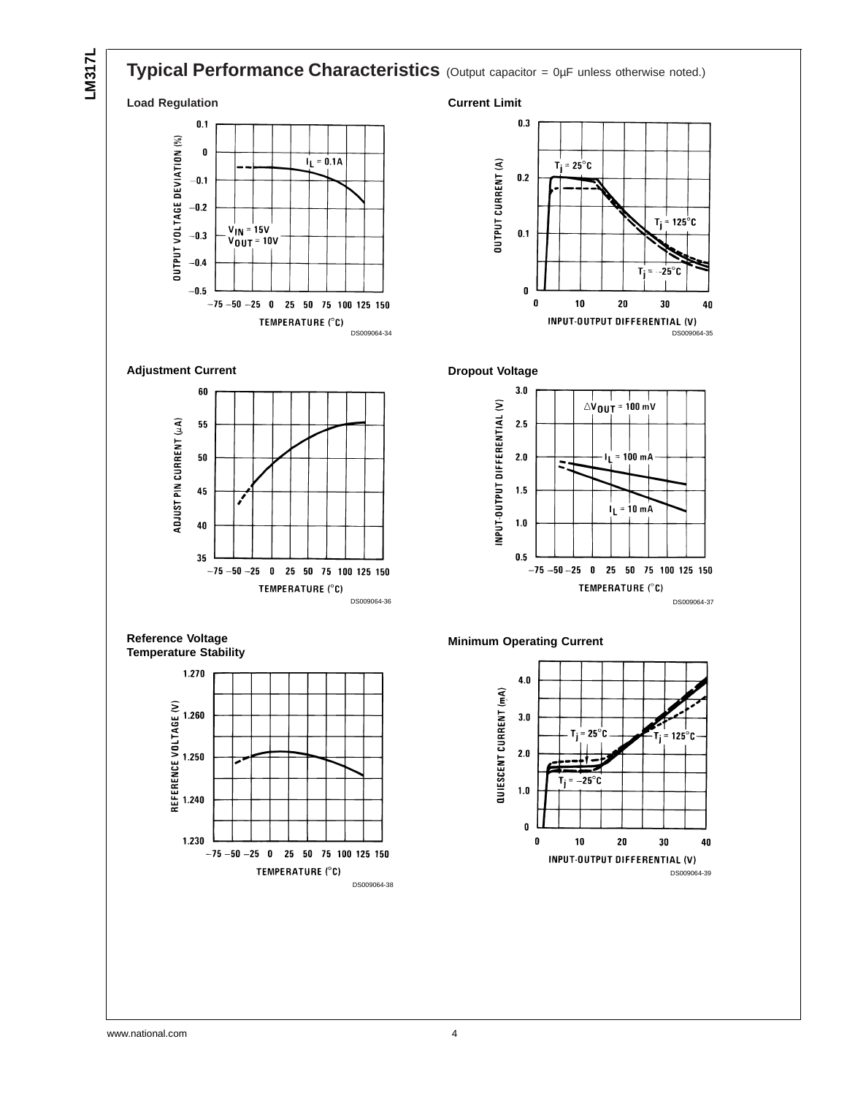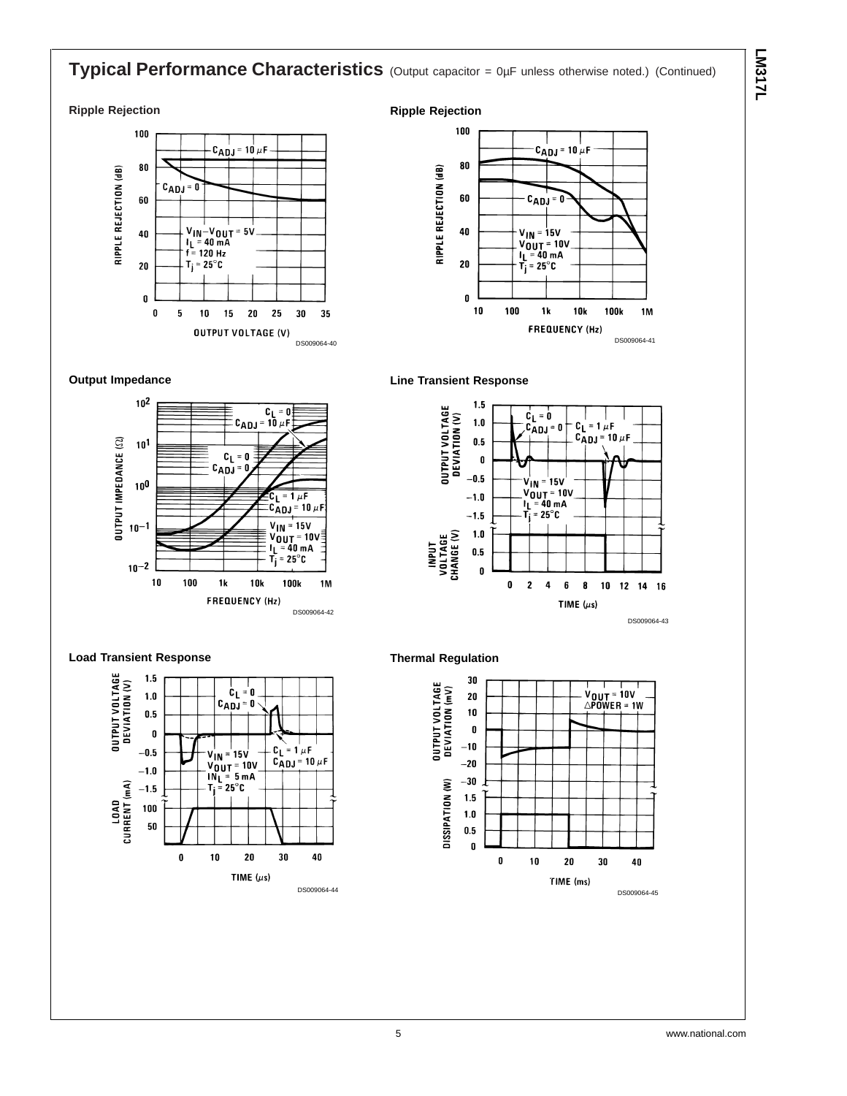## **Typical Performance Characteristics** (Output capacitor = 0µF unless otherwise noted.) (Continued)

#### **Ripple Rejection**







### **Line Transient Response**





### **Load Transient Response**



### **Thermal Regulation**

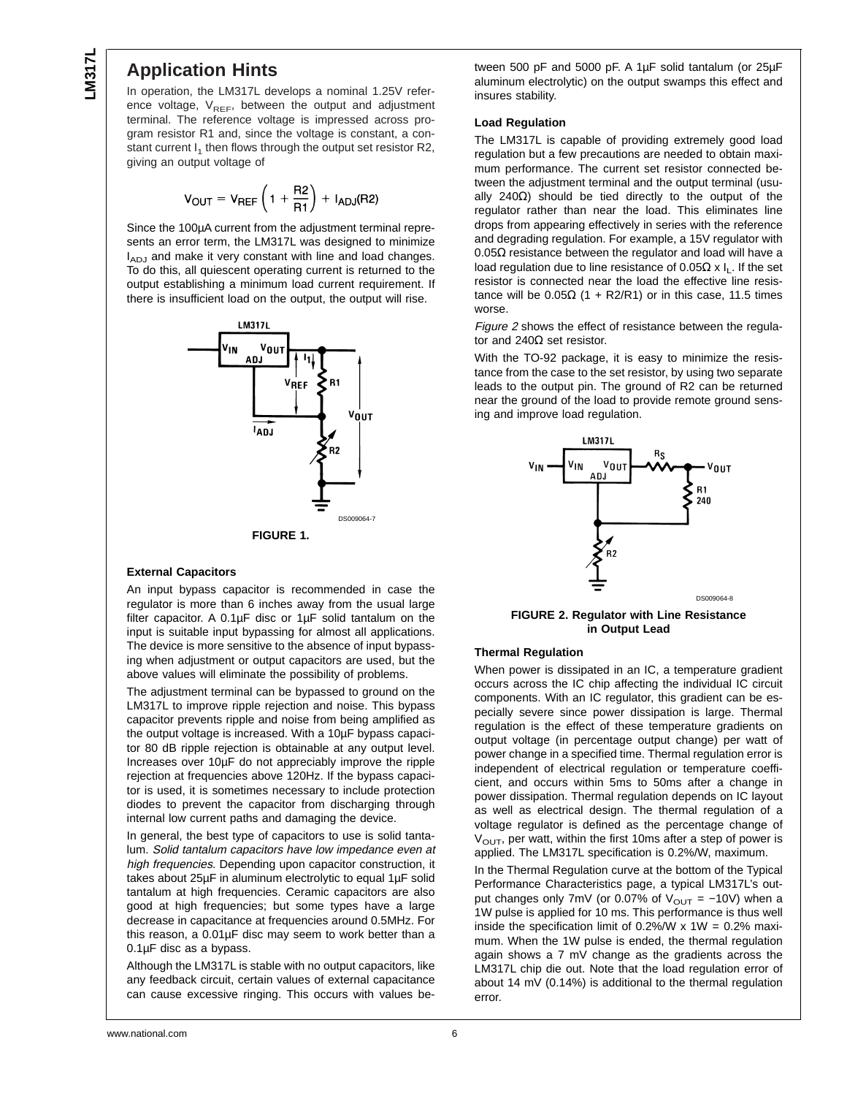## **Application Hints**

In operation, the LM317L develops a nominal 1.25V reference voltage,  $V_{REF}$ , between the output and adjustment terminal. The reference voltage is impressed across program resistor R1 and, since the voltage is constant, a constant current  $I_1$  then flows through the output set resistor R2, giving an output voltage of

$$
V_{\text{OUT}} = V_{\text{REF}} \left( 1 + \frac{\text{R2}}{\text{R1}} \right) + I_{\text{ADJ}}(\text{R2})
$$

Since the 100µA current from the adjustment terminal represents an error term, the LM317L was designed to minimize I<sub>ADJ</sub> and make it very constant with line and load changes. To do this, all quiescent operating current is returned to the output establishing a minimum load current requirement. If there is insufficient load on the output, the output will rise.



### **External Capacitors**

An input bypass capacitor is recommended in case the regulator is more than 6 inches away from the usual large filter capacitor. A 0.1µF disc or 1µF solid tantalum on the input is suitable input bypassing for almost all applications. The device is more sensitive to the absence of input bypassing when adjustment or output capacitors are used, but the above values will eliminate the possibility of problems.

The adjustment terminal can be bypassed to ground on the LM317L to improve ripple rejection and noise. This bypass capacitor prevents ripple and noise from being amplified as the output voltage is increased. With a 10µF bypass capacitor 80 dB ripple rejection is obtainable at any output level. Increases over 10µF do not appreciably improve the ripple rejection at frequencies above 120Hz. If the bypass capacitor is used, it is sometimes necessary to include protection diodes to prevent the capacitor from discharging through internal low current paths and damaging the device.

In general, the best type of capacitors to use is solid tantalum. Solid tantalum capacitors have low impedance even at high frequencies. Depending upon capacitor construction, it takes about 25µF in aluminum electrolytic to equal 1µF solid tantalum at high frequencies. Ceramic capacitors are also good at high frequencies; but some types have a large decrease in capacitance at frequencies around 0.5MHz. For this reason, a 0.01µF disc may seem to work better than a 0.1µF disc as a bypass.

Although the LM317L is stable with no output capacitors, like any feedback circuit, certain values of external capacitance can cause excessive ringing. This occurs with values between 500 pF and 5000 pF. A 1µF solid tantalum (or 25µF aluminum electrolytic) on the output swamps this effect and insures stability.

### **Load Regulation**

The LM317L is capable of providing extremely good load regulation but a few precautions are needed to obtain maximum performance. The current set resistor connected between the adjustment terminal and the output terminal (usually 240Ω) should be tied directly to the output of the regulator rather than near the load. This eliminates line drops from appearing effectively in series with the reference and degrading regulation. For example, a 15V regulator with 0.05 $Ω$  resistance between the regulator and load will have a load regulation due to line resistance of  $0.05\Omega \times I_L$ . If the set resistor is connected near the load the effective line resistance will be  $0.05Ω$  (1 + R2/R1) or in this case, 11.5 times worse.

Figure <sup>2</sup> shows the effect of resistance between the regulator and 240Ω set resistor.

With the TO-92 package, it is easy to minimize the resistance from the case to the set resistor, by using two separate leads to the output pin. The ground of R2 can be returned near the ground of the load to provide remote ground sensing and improve load regulation.



**FIGURE 2. Regulator with Line Resistance in Output Lead**

#### **Thermal Regulation**

When power is dissipated in an IC, a temperature gradient occurs across the IC chip affecting the individual IC circuit components. With an IC regulator, this gradient can be especially severe since power dissipation is large. Thermal regulation is the effect of these temperature gradients on output voltage (in percentage output change) per watt of power change in a specified time. Thermal regulation error is independent of electrical regulation or temperature coefficient, and occurs within 5ms to 50ms after a change in power dissipation. Thermal regulation depends on IC layout as well as electrical design. The thermal regulation of a voltage regulator is defined as the percentage change of  $V<sub>OUT</sub>$ , per watt, within the first 10ms after a step of power is applied. The LM317L specification is 0.2%/W, maximum.

In the Thermal Regulation curve at the bottom of the Typical Performance Characteristics page, a typical LM317L's output changes only 7mV (or 0.07% of  $V_{OUT} = -10V$ ) when a 1W pulse is applied for 10 ms. This performance is thus well inside the specification limit of  $0.2\%$ /W x 1W = 0.2% maximum. When the 1W pulse is ended, the thermal regulation again shows a 7 mV change as the gradients across the LM317L chip die out. Note that the load regulation error of about 14 mV (0.14%) is additional to the thermal regulation error.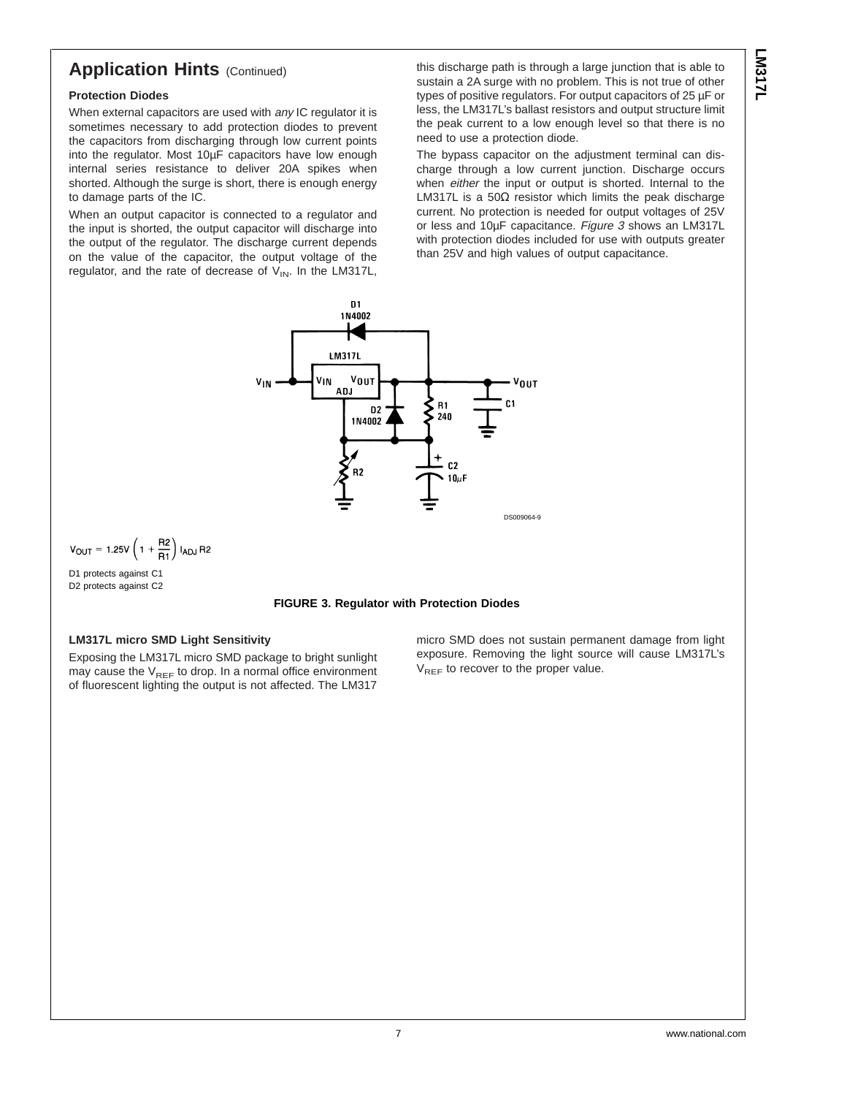## **Application Hints (Continued)**

### **Protection Diodes**

When external capacitors are used with any IC regulator it is sometimes necessary to add protection diodes to prevent the capacitors from discharging through low current points into the regulator. Most 10µF capacitors have low enough internal series resistance to deliver 20A spikes when shorted. Although the surge is short, there is enough energy to damage parts of the IC.

When an output capacitor is connected to a regulator and the input is shorted, the output capacitor will discharge into the output of the regulator. The discharge current depends on the value of the capacitor, the output voltage of the regulator, and the rate of decrease of  $V_{IN}$ . In the LM317L, this discharge path is through a large junction that is able to sustain a 2A surge with no problem. This is not true of other types of positive regulators. For output capacitors of 25 µF or less, the LM317L's ballast resistors and output structure limit the peak current to a low enough level so that there is no need to use a protection diode.

The bypass capacitor on the adjustment terminal can discharge through a low current junction. Discharge occurs when either the input or output is shorted. Internal to the LM317L is a 50 $\Omega$  resistor which limits the peak discharge current. No protection is needed for output voltages of 25V or less and 10µF capacitance. Figure 3 shows an LM317L with protection diodes included for use with outputs greater than 25V and high values of output capacitance.



 $V_{OUT} = 1.25V \left( 1 + \frac{R2}{R1} \right) I_{ADJ} R2$ 

D1 protects against C1 D2 protects against C2

#### **FIGURE 3. Regulator with Protection Diodes**

## **LM317L micro SMD Light Sensitivity**

Exposing the LM317L micro SMD package to bright sunlight may cause the  $V_{REF}$  to drop. In a normal office environment of fluorescent lighting the output is not affected. The LM317 micro SMD does not sustain permanent damage from light exposure. Removing the light source will cause LM317L's  $V_{REF}$  to recover to the proper value.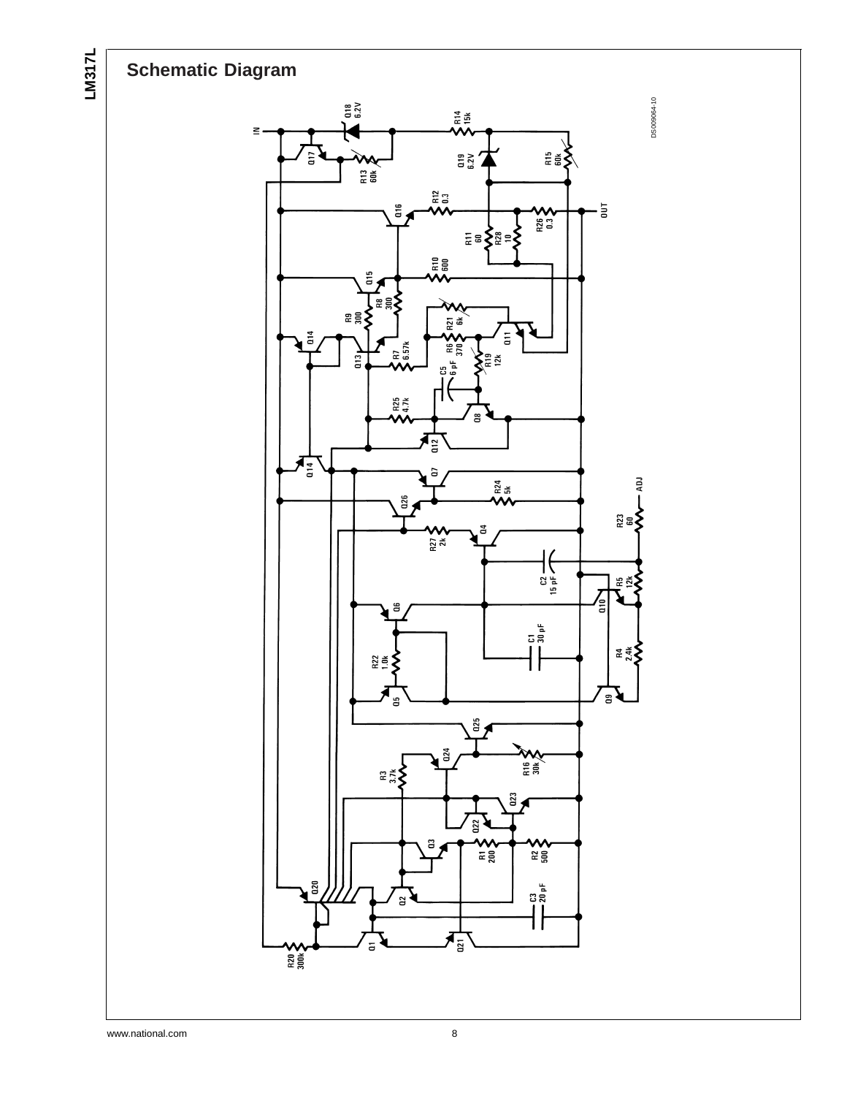**LM317L**

# **Schematic Diagram**



www.national.com 8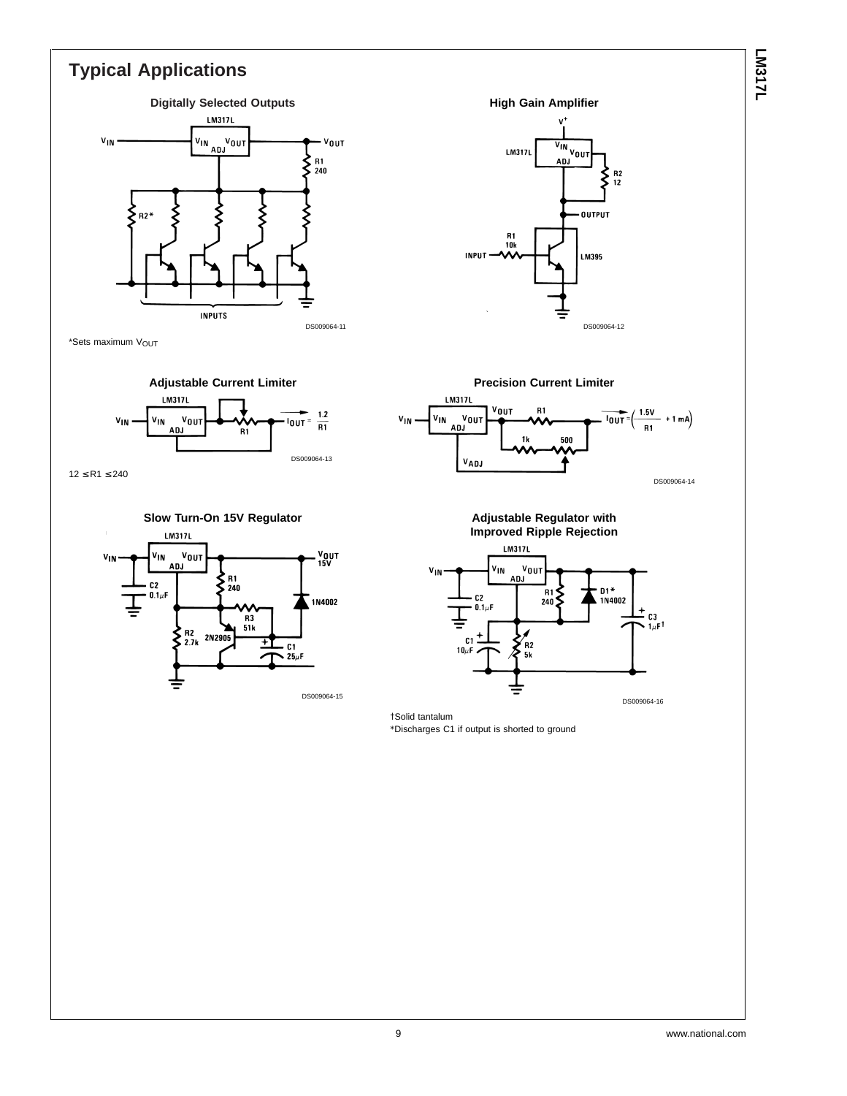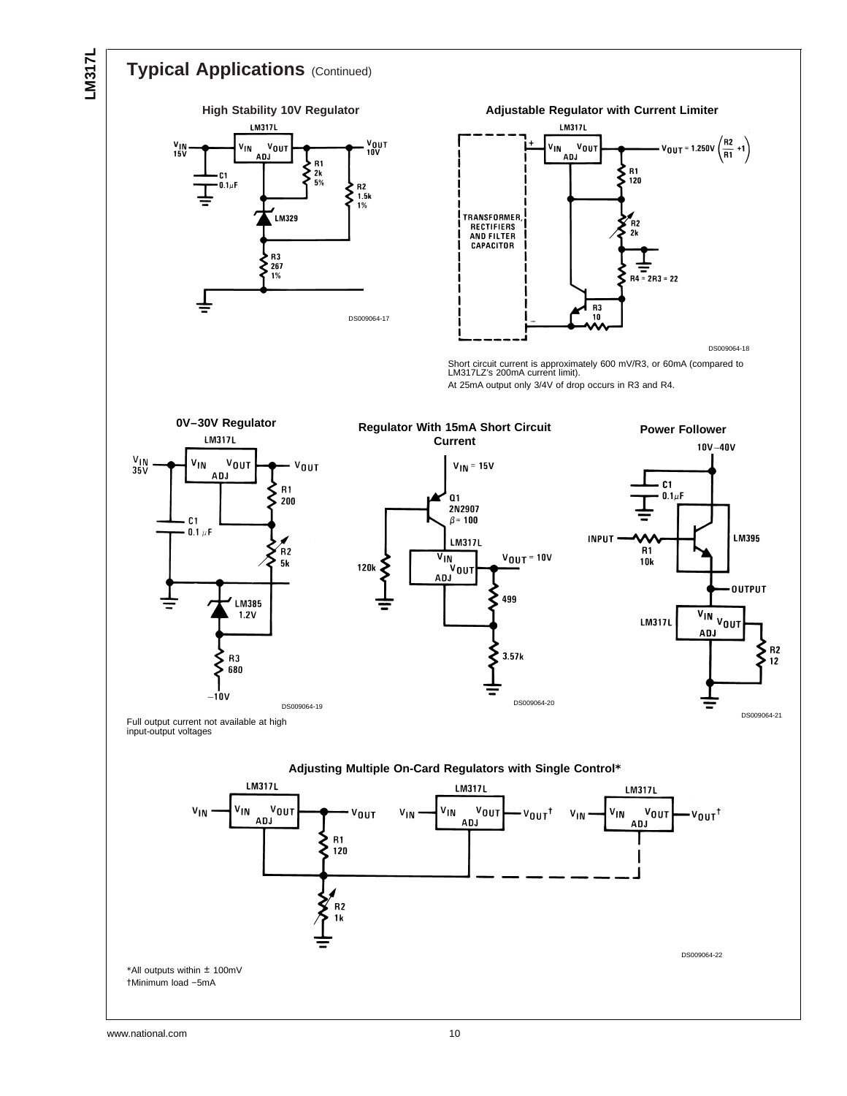

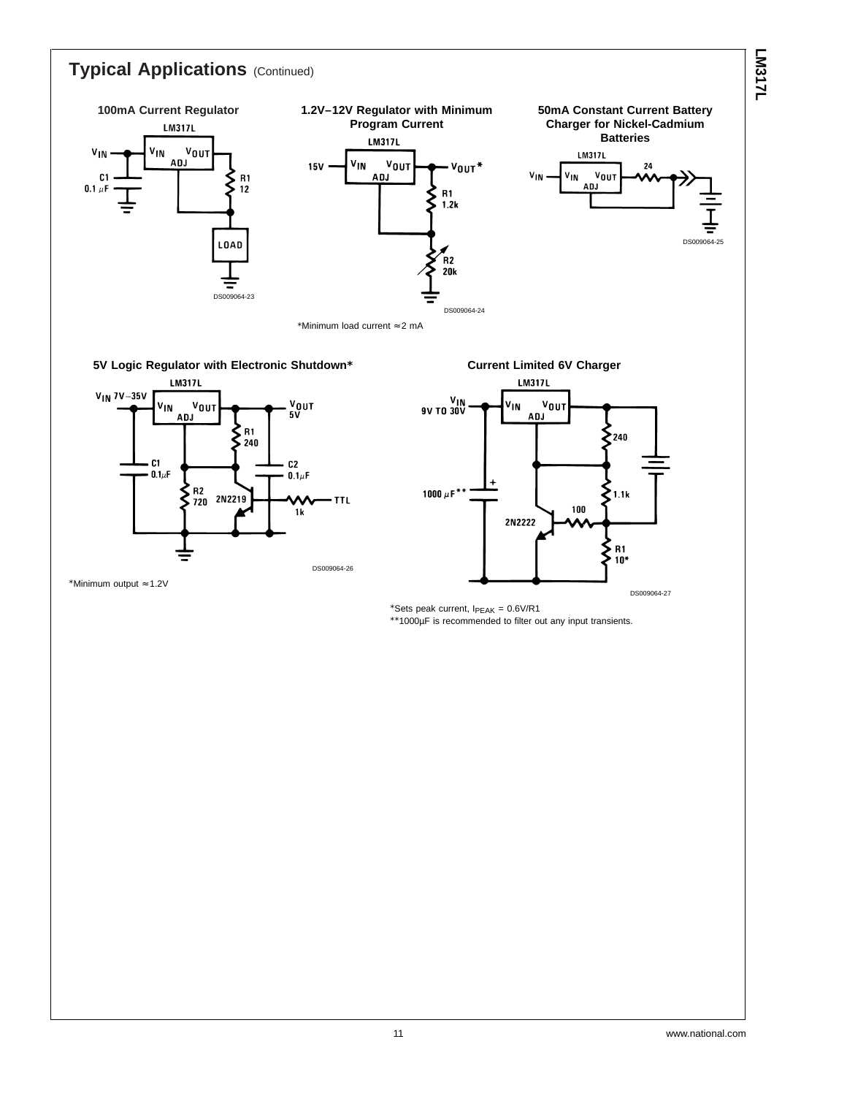#### **LM317L Typical Applications** (Continued) **100mA Current Regulator 1.2V–12V Regulator with Minimum 50mA Constant Current Battery Program Current Charger for Nickel-Cadmium LM317L Batteries LM317L**  $\frac{v_{\text{OUT}}}{\sqrt{v_{\text{OUT}}}}$  $V_{1N}$ **V<sub>IN</sub> LM317L** ADJ **V<sub>IN</sub>**  $v_{0U}$  $15V$  $v_{\text{OUT}}$  $24$  $V_{1N}$  $V_{IN}$  $v_{0U}$ ADJ  $C<sub>1</sub>$  $R<sub>1</sub>$ ξ **ADJ**  $0.1 \ \mu F$  $12$ R1<br>1.2k ξ DS009064-25 **LOAD**  $R<sub>2</sub>$  $20k$ Ξ DS009064-23 DS009064-24 \*Minimum load current ≈ 2 mA **5V Logic Regulator with Electronic Shutdown\* Current Limited 6V Charger LM317L LM317L**  $V_{IN}$  7V $-35V$  $\frac{V_{IN}}{9V}$  TO 30V  $\frac{V_{\text{OUI}}}{V}$ VOUT VIN  $v_{0U}$ V<sub>IN</sub> ADJ ADJ ξ  $^{\circ}$  R1. >շ40 240  $\mathbf{C}$  $c<sub>2</sub>$  $0.1\mu F$  $0.1\mu F$  $R^2$ <br> $R^2$ <br> $R^2$ <br> $R^2$ <br> $R^2$ ξ 1000  $\mu$ F\*\*  $1.1k$ **TTL** 100  $1k$ 2N2222

DS009064-26

\*Minimum output ≈ 1.2V

DS009064-27

 $\sum_{10^*}$  $10*$ 

\*Sets peak current,  $I_{PEAK} = 0.6V/R1$ \*\*1000µF is recommended to filter out any input transients.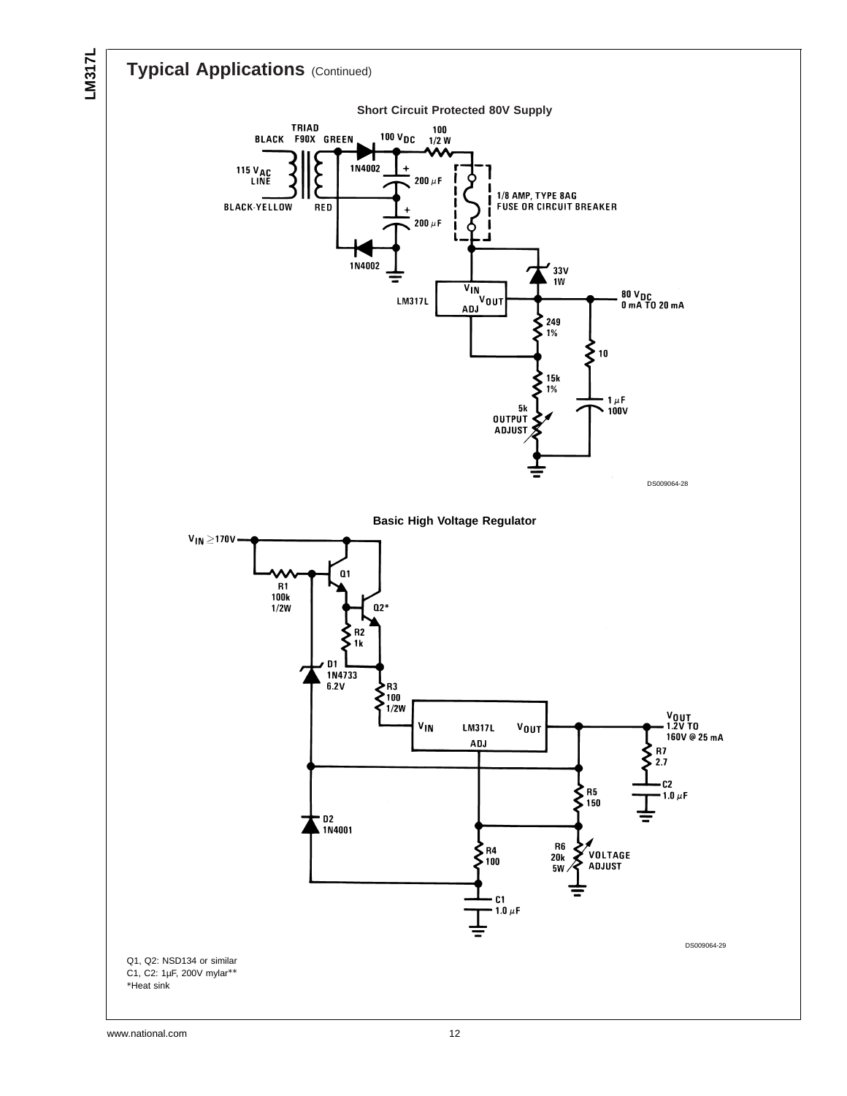

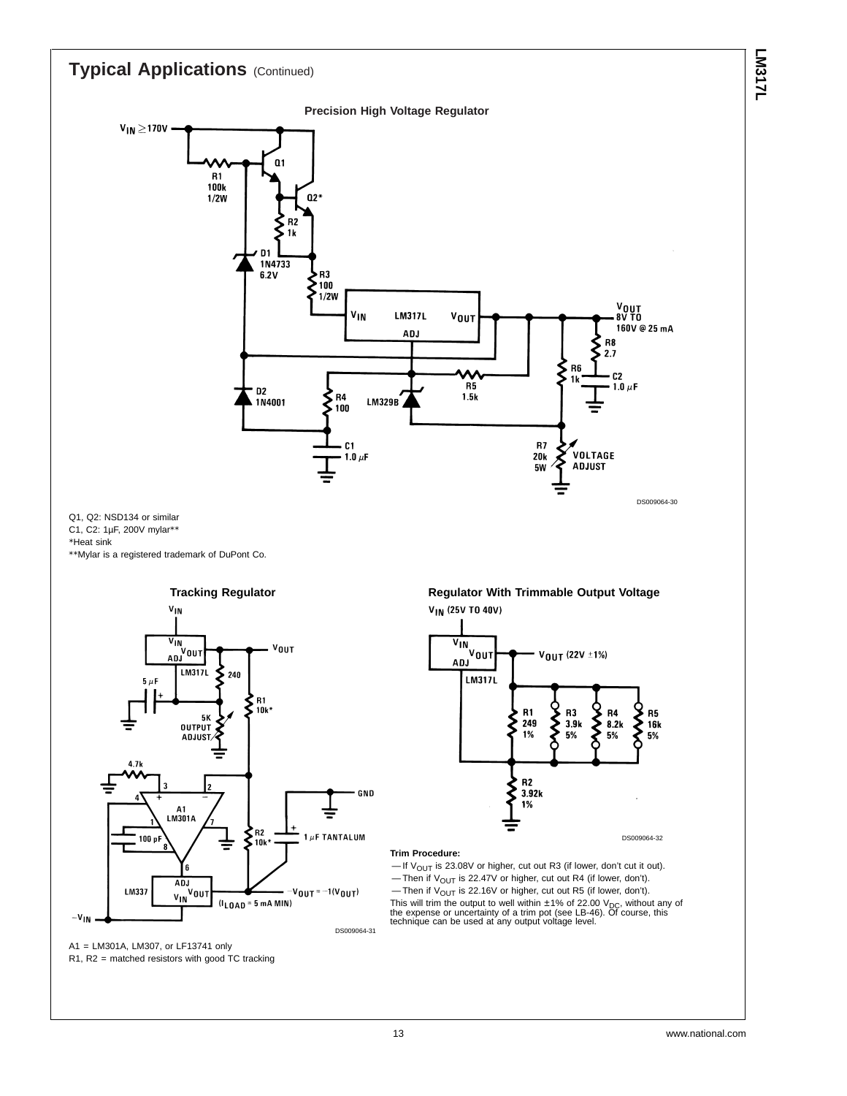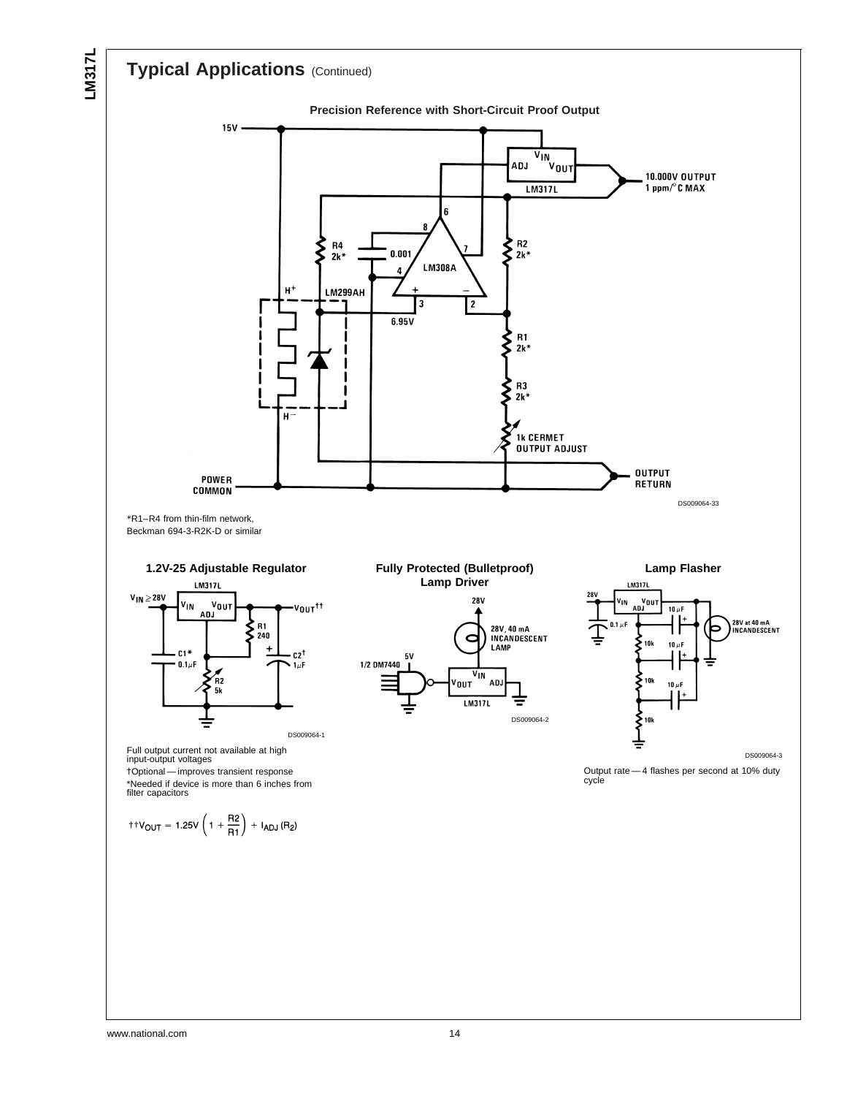## **Typical Applications** (Continued)

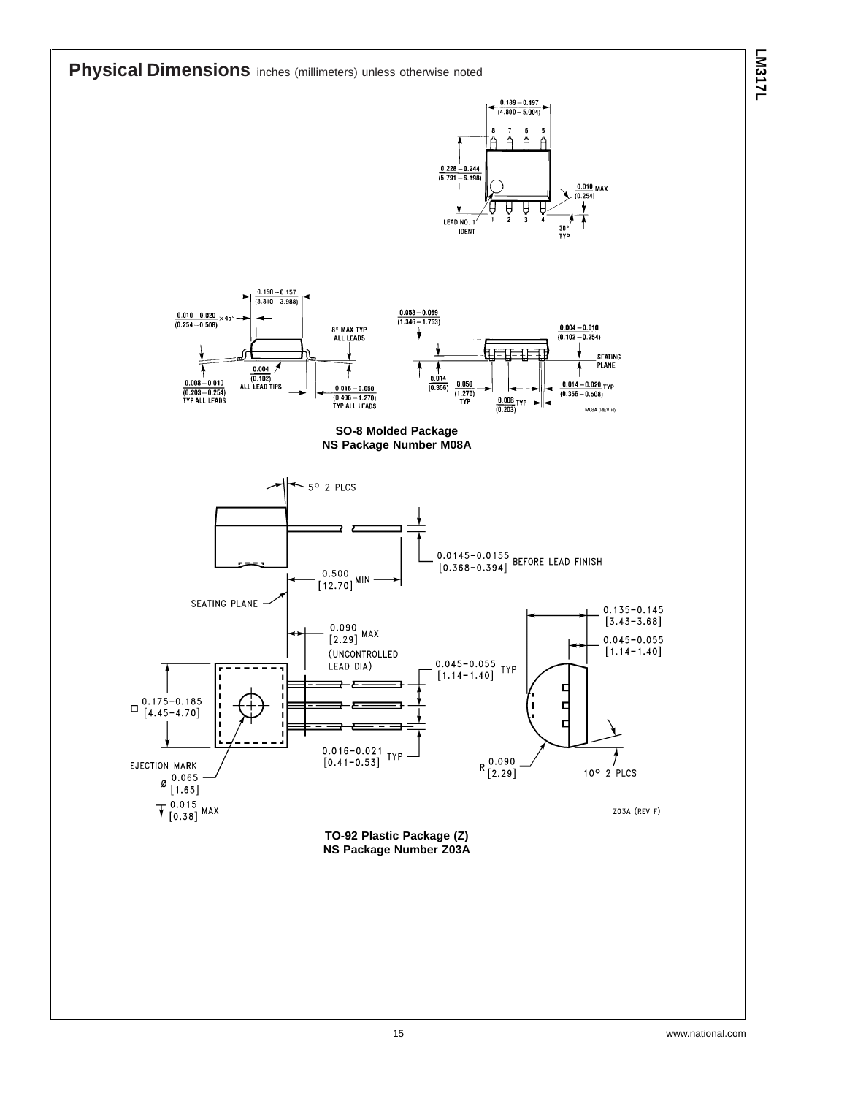